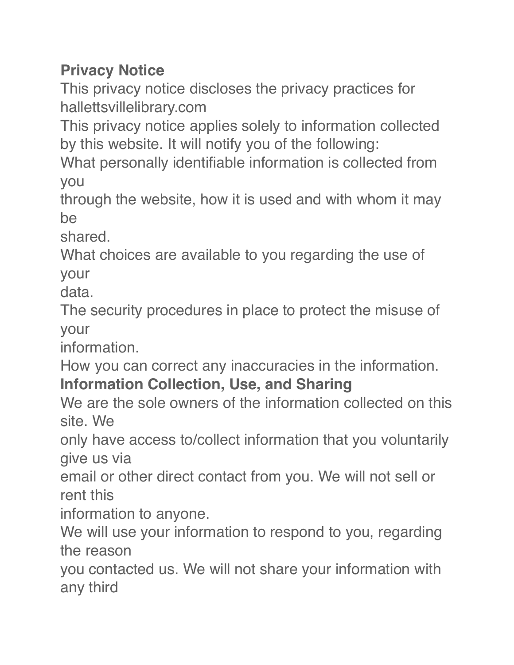## **Privacy Notice**

This privacy notice discloses the privacy practices for hallettsvillelibrary.com

This privacy notice applies solely to information collected by this website. It will notify you of the following:

What personally identifiable information is collected from you

through the website, how it is used and with whom it may be

shared.

What choices are available to you regarding the use of your

data.

The security procedures in place to protect the misuse of your

information.

How you can correct any inaccuracies in the information.

## **Information Collection, Use, and Sharing**

We are the sole owners of the information collected on this site. We

only have access to/collect information that you voluntarily give us via

email or other direct contact from you. We will not sell or rent this

information to anyone.

We will use your information to respond to you, regarding the reason

you contacted us. We will not share your information with any third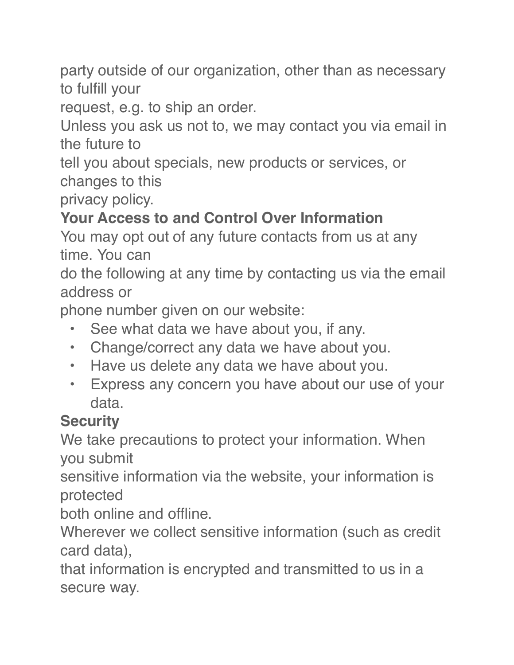party outside of our organization, other than as necessary to fulfill your

request, e.g. to ship an order.

Unless you ask us not to, we may contact you via email in the future to

tell you about specials, new products or services, or changes to this

privacy policy.

## **Your Access to and Control Over Information**

You may opt out of any future contacts from us at any time. You can

do the following at any time by contacting us via the email address or

phone number given on our website:

- See what data we have about you, if any.
- Change/correct any data we have about you.
- Have us delete any data we have about you.
- Express any concern you have about our use of your data.

## **Security**

We take precautions to protect your information. When you submit

sensitive information via the website, your information is protected

both online and offline.

Wherever we collect sensitive information (such as credit card data),

that information is encrypted and transmitted to us in a secure way.